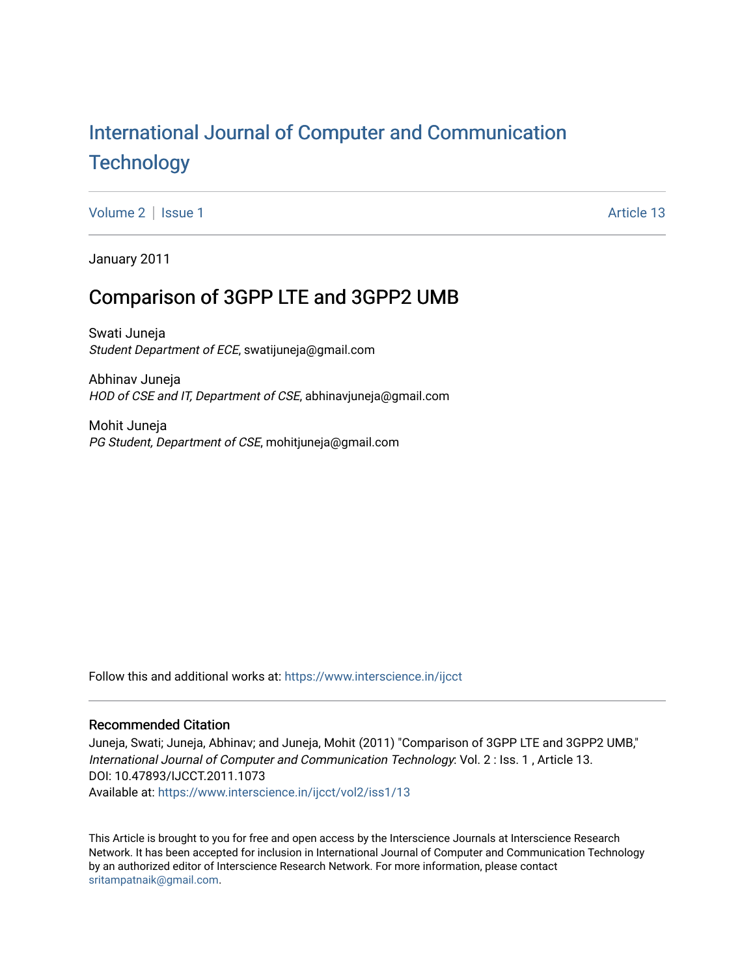## [International Journal of Computer and Communication](https://www.interscience.in/ijcct)  **Technology**

[Volume 2](https://www.interscience.in/ijcct/vol2) | [Issue 1](https://www.interscience.in/ijcct/vol2/iss1) Article 13

January 2011

## Comparison of 3GPP LTE and 3GPP2 UMB

Swati Juneja Student Department of ECE, swatijuneja@gmail.com

Abhinav Juneja HOD of CSE and IT, Department of CSE, abhinavjuneja@gmail.com

Mohit Juneja PG Student, Department of CSE, mohitjuneja@gmail.com

Follow this and additional works at: [https://www.interscience.in/ijcct](https://www.interscience.in/ijcct?utm_source=www.interscience.in%2Fijcct%2Fvol2%2Fiss1%2F13&utm_medium=PDF&utm_campaign=PDFCoverPages)

## Recommended Citation

Juneja, Swati; Juneja, Abhinav; and Juneja, Mohit (2011) "Comparison of 3GPP LTE and 3GPP2 UMB," International Journal of Computer and Communication Technology: Vol. 2 : Iss. 1 , Article 13. DOI: 10.47893/IJCCT.2011.1073 Available at: [https://www.interscience.in/ijcct/vol2/iss1/13](https://www.interscience.in/ijcct/vol2/iss1/13?utm_source=www.interscience.in%2Fijcct%2Fvol2%2Fiss1%2F13&utm_medium=PDF&utm_campaign=PDFCoverPages) 

This Article is brought to you for free and open access by the Interscience Journals at Interscience Research Network. It has been accepted for inclusion in International Journal of Computer and Communication Technology by an authorized editor of Interscience Research Network. For more information, please contact [sritampatnaik@gmail.com](mailto:sritampatnaik@gmail.com).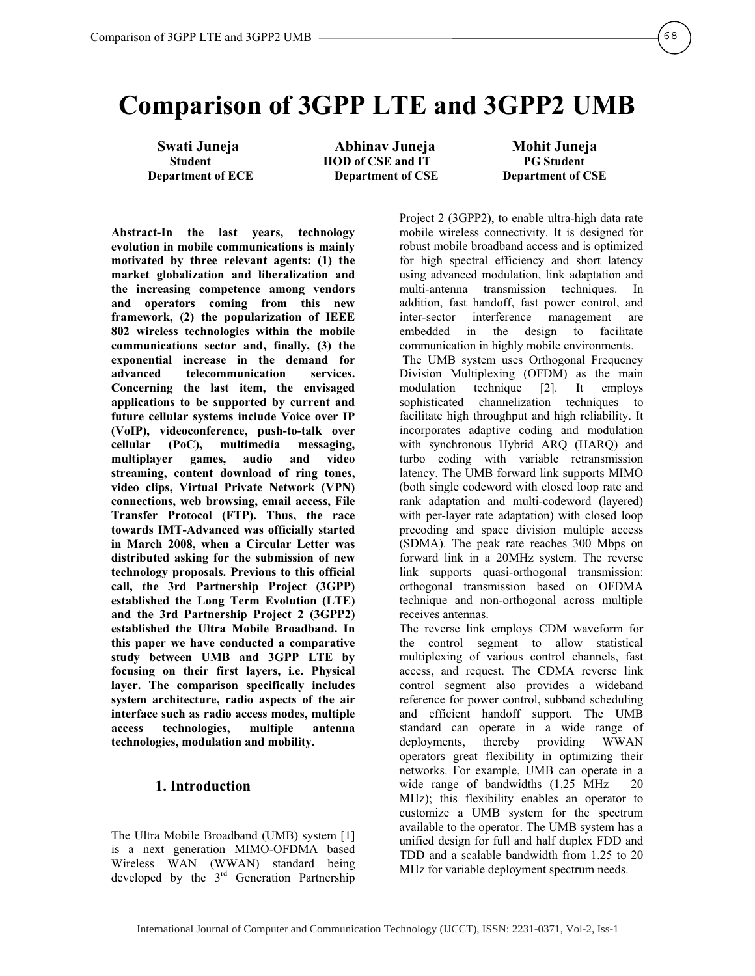# **Comparison of 3GPP LTE and 3GPP2 UMB**

**Swati Juneja Abhinav Juneja Mohit Juneja HOD of CSE and IT Department of ECE Department of CSE Department of CSE** 

**Abstract-In the last years, technology evolution in mobile communications is mainly motivated by three relevant agents: (1) the market globalization and liberalization and the increasing competence among vendors and operators coming from this new framework, (2) the popularization of IEEE 802 wireless technologies within the mobile communications sector and, finally, (3) the exponential increase in the demand for advanced telecommunication services. Concerning the last item, the envisaged applications to be supported by current and future cellular systems include Voice over IP (VoIP), videoconference, push-to-talk over cellular (PoC), multimedia messaging, multiplayer games, audio and video streaming, content download of ring tones, video clips, Virtual Private Network (VPN) connections, web browsing, email access, File Transfer Protocol (FTP). Thus, the race towards IMT-Advanced was officially started in March 2008, when a Circular Letter was distributed asking for the submission of new technology proposals. Previous to this official call, the 3rd Partnership Project (3GPP) established the Long Term Evolution (LTE) and the 3rd Partnership Project 2 (3GPP2) established the Ultra Mobile Broadband. In this paper we have conducted a comparative study between UMB and 3GPP LTE by focusing on their first layers, i.e. Physical layer. The comparison specifically includes system architecture, radio aspects of the air interface such as radio access modes, multiple access technologies, multiple antenna technologies, modulation and mobility.** 

## **1. Introduction**

The Ultra Mobile Broadband (UMB) system [1] is a next generation MIMO-OFDMA based Wireless WAN (WWAN) standard being developed by the  $3<sup>rd</sup>$  Generation Partnership

Project 2 (3GPP2), to enable ultra-high data rate mobile wireless connectivity. It is designed for robust mobile broadband access and is optimized for high spectral efficiency and short latency using advanced modulation, link adaptation and multi-antenna transmission techniques. In addition, fast handoff, fast power control, and inter-sector interference management are embedded in the design to facilitate communication in highly mobile environments.

 The UMB system uses Orthogonal Frequency Division Multiplexing (OFDM) as the main modulation technique [2]. It employs sophisticated channelization techniques to facilitate high throughput and high reliability. It incorporates adaptive coding and modulation with synchronous Hybrid ARQ (HARQ) and turbo coding with variable retransmission latency. The UMB forward link supports MIMO (both single codeword with closed loop rate and rank adaptation and multi-codeword (layered) with per-layer rate adaptation) with closed loop precoding and space division multiple access (SDMA). The peak rate reaches 300 Mbps on forward link in a 20MHz system. The reverse link supports quasi-orthogonal transmission: orthogonal transmission based on OFDMA technique and non-orthogonal across multiple receives antennas.

The reverse link employs CDM waveform for the control segment to allow statistical multiplexing of various control channels, fast access, and request. The CDMA reverse link control segment also provides a wideband reference for power control, subband scheduling and efficient handoff support. The UMB standard can operate in a wide range of deployments, thereby providing WWAN operators great flexibility in optimizing their networks. For example, UMB can operate in a wide range of bandwidths  $(1.25 \text{ MHz} - 20)$ MHz); this flexibility enables an operator to customize a UMB system for the spectrum available to the operator. The UMB system has a unified design for full and half duplex FDD and TDD and a scalable bandwidth from 1.25 to 20 MHz for variable deployment spectrum needs.

68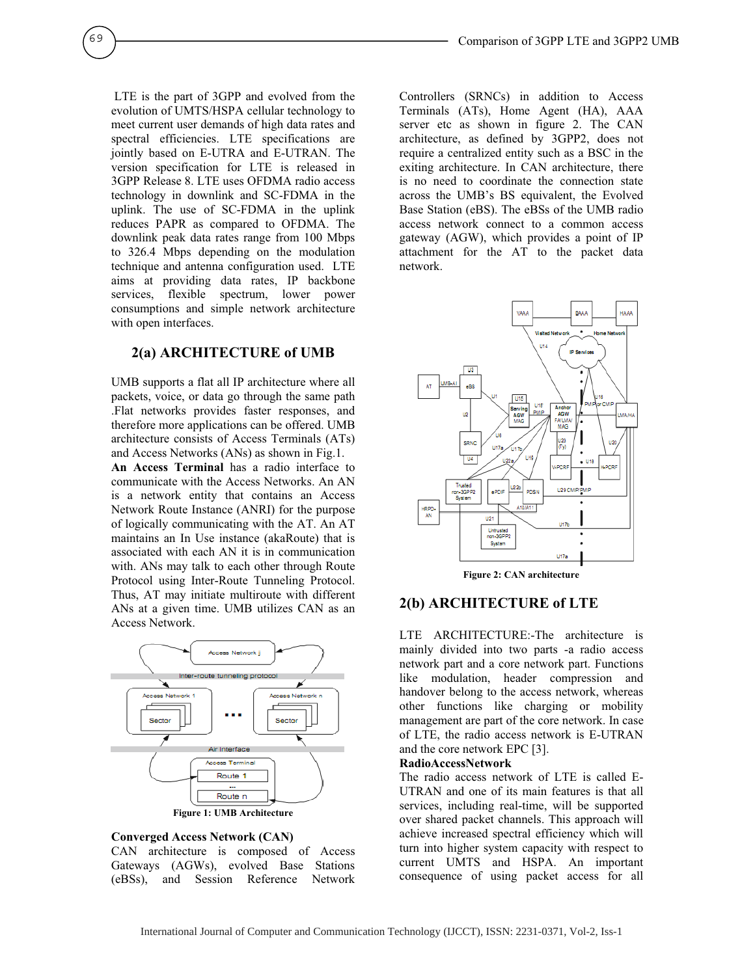LTE is the part of 3GPP and evolved from the evolution of UMTS/HSPA cellular technology to meet current user demands of high data rates and spectral efficiencies. LTE specifications are jointly based on E-UTRA and E-UTRAN. The version specification for LTE is released in 3GPP Release 8. LTE uses OFDMA radio access technology in downlink and SC-FDMA in the uplink. The use of SC-FDMA in the uplink reduces PAPR as compared to OFDMA. The downlink peak data rates range from 100 Mbps to 326.4 Mbps depending on the modulation technique and antenna configuration used. LTE aims at providing data rates, IP backbone services, flexible spectrum, lower power consumptions and simple network architecture with open interfaces.

69

## **2(a) ARCHITECTURE of UMB**

UMB supports a flat all IP architecture where all packets, voice, or data go through the same path .Flat networks provides faster responses, and therefore more applications can be offered. UMB architecture consists of Access Terminals (ATs) and Access Networks (ANs) as shown in Fig.1.

**An Access Terminal** has a radio interface to communicate with the Access Networks. An AN is a network entity that contains an Access Network Route Instance (ANRI) for the purpose of logically communicating with the AT. An AT maintains an In Use instance (akaRoute) that is associated with each AN it is in communication with. ANs may talk to each other through Route Protocol using Inter-Route Tunneling Protocol. Thus, AT may initiate multiroute with different ANs at a given time. UMB utilizes CAN as an Access Network.



#### **Converged Access Network (CAN)**

CAN architecture is composed of Access Gateways (AGWs), evolved Base Stations (eBSs), and Session Reference Network

Controllers (SRNCs) in addition to Access Terminals (ATs), Home Agent (HA), AAA server etc as shown in figure 2. The CAN architecture, as defined by 3GPP2, does not require a centralized entity such as a BSC in the exiting architecture. In CAN architecture, there is no need to coordinate the connection state across the UMB's BS equivalent, the Evolved Base Station (eBS). The eBSs of the UMB radio access network connect to a common access gateway (AGW), which provides a point of IP attachment for the AT to the packet data network.



#### **Figure 2: CAN architecture**

## **2(b) ARCHITECTURE of LTE**

LTE ARCHITECTURE:-The architecture is mainly divided into two parts -a radio access network part and a core network part. Functions like modulation, header compression and handover belong to the access network, whereas other functions like charging or mobility management are part of the core network. In case of LTE, the radio access network is E-UTRAN and the core network EPC [3].

#### **RadioAccessNetwork**

The radio access network of LTE is called E-UTRAN and one of its main features is that all services, including real-time, will be supported over shared packet channels. This approach will achieve increased spectral efficiency which will turn into higher system capacity with respect to current UMTS and HSPA. An important consequence of using packet access for all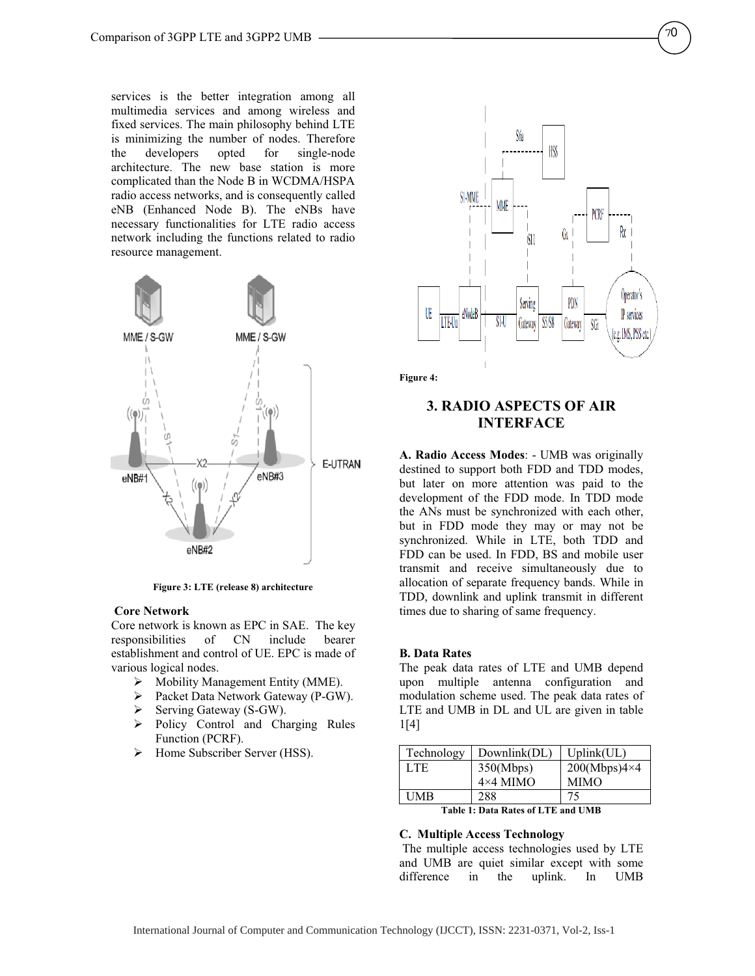services is the better integration among all multimedia services and among wireless and fixed services. The main philosophy behind LTE is minimizing the number of nodes. Therefore the developers opted for single-node architecture. The new base station is more complicated than the Node B in WCDMA/HSPA radio access networks, and is consequently called eNB (Enhanced Node B). The eNBs have necessary functionalities for LTE radio access network including the functions related to radio resource management.



**Figure 3: LTE (release 8) architecture** 

#### **Core Network**

Core network is known as EPC in SAE. The key responsibilities of CN include bearer establishment and control of UE. EPC is made of various logical nodes.

- ¾ Mobility Management Entity (MME).
- ¾ Packet Data Network Gateway (P-GW).
- ¾ Serving Gateway (S-GW).
- ¾ Policy Control and Charging Rules Function (PCRF).
- ¾ Home Subscriber Server (HSS).



**Figure 4:** 

## **3. RADIO ASPECTS OF AIR INTERFACE**

**A. Radio Access Modes**: - UMB was originally destined to support both FDD and TDD modes, but later on more attention was paid to the development of the FDD mode. In TDD mode the ANs must be synchronized with each other, but in FDD mode they may or may not be synchronized. While in LTE, both TDD and FDD can be used. In FDD, BS and mobile user transmit and receive simultaneously due to allocation of separate frequency bands. While in TDD, downlink and uplink transmit in different times due to sharing of same frequency.

#### **B. Data Rates**

The peak data rates of LTE and UMB depend upon multiple antenna configuration and modulation scheme used. The peak data rates of LTE and UMB in DL and UL are given in table 1[4]

| Technology                         | Downlink(DL)    | Uplink(UL)          |  |
|------------------------------------|-----------------|---------------------|--|
| LTE.                               | 350(Mbps)       | $200(Mbps)4\times4$ |  |
|                                    | $4\times4$ MIMO | <b>MIMO</b>         |  |
| UMB                                | 288             | 75                  |  |
| Table 1: Data Rates of LTE and UMB |                 |                     |  |

#### **C. Multiple Access Technology**

 The multiple access technologies used by LTE and UMB are quiet similar except with some difference in the uplink. In UMB

70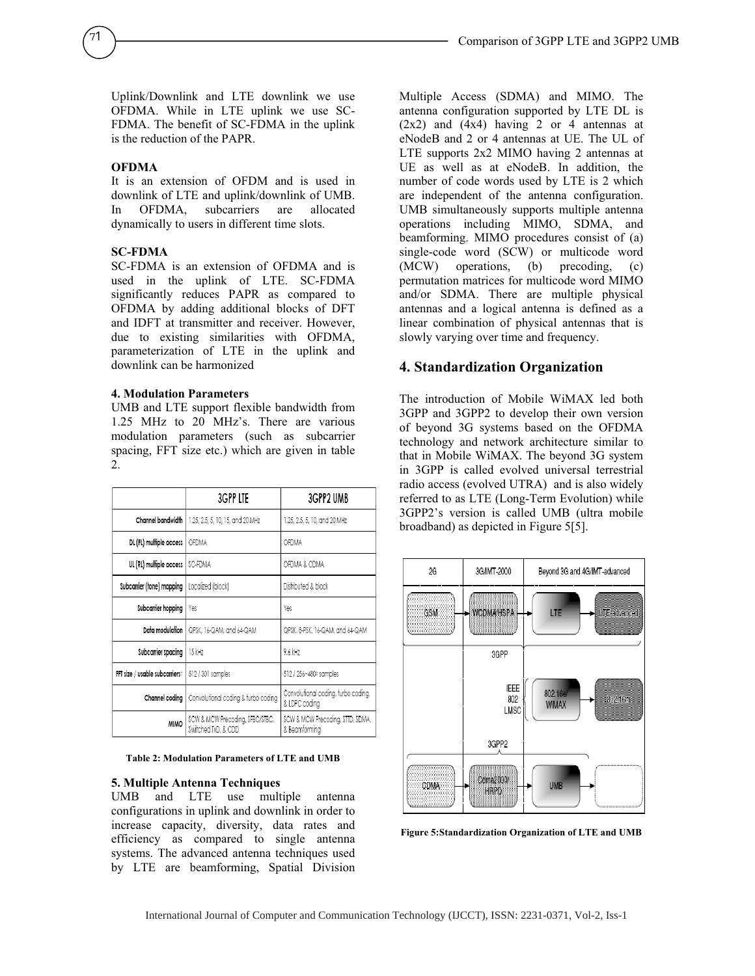Uplink/Downlink and LTE downlink we use OFDMA. While in LTE uplink we use SC-FDMA. The benefit of SC-FDMA in the uplink is the reduction of the PAPR.

#### **OFDMA**

71

It is an extension of OFDM and is used in downlink of LTE and uplink/downlink of UMB.<br>In OFDMA, subcarriers are allocated In OFDMA, subcarriers are allocated dynamically to users in different time slots.

#### **SC-FDMA**

SC-FDMA is an extension of OFDMA and is used in the uplink of LTE. SC-FDMA significantly reduces PAPR as compared to OFDMA by adding additional blocks of DFT and IDFT at transmitter and receiver. However, due to existing similarities with OFDMA, parameterization of LTE in the uplink and downlink can be harmonized

#### **4. Modulation Parameters**

UMB and LTE support flexible bandwidth from 1.25 MHz to 20 MHz's. There are various modulation parameters (such as subcarrier spacing, FFT size etc.) which are given in table 2.

|                                | 3GPP LTE                                               | 3GPP2 UMB                                            |
|--------------------------------|--------------------------------------------------------|------------------------------------------------------|
| Channel bandwidth              | 1.25, 2.5, 5, 10, 15, and 20 MHz                       | 1.25, 2.5, 5, 10, and 20 MHz                         |
| DL (FL) multiple access        | OFDMA                                                  | OFDMA                                                |
| UL (RL) multiple access        | SC-FDMA                                                | OFDMA & CDMA                                         |
| Subcarrier (tone) mapping      | Localized (block)                                      | Distributed & block                                  |
| Subcarrier hopping             | Yes                                                    | Yes                                                  |
| Data modulation                | QPSK, 16-QAM, and 64-QAM                               | QPSK, 8-PSK, 16-QAM, and 64-QAM                      |
| Subcarrier spacing             | 15 kHz                                                 | 9.6 kHz                                              |
| FFT size / usable subcarrierst | 512 / 301 samples                                      | 512 / 256~480‡ samples                               |
| Channel coding                 | Convolutional coding & turbo coding                    | Convolutional coding, turbo coding,<br>& LDPC coding |
| <b>MIMO</b>                    | SCW & MCW Precoding, SFBC/STBC,<br>Switched TxD, & CDD | SCW & MCW Precoding, STTD, SDMA,<br>& Beamformina    |

**Table 2: Modulation Parameters of LTE and UMB** 

#### **5. Multiple Antenna Techniques**

UMB and LTE use multiple antenna configurations in uplink and downlink in order to increase capacity, diversity, data rates and efficiency as compared to single antenna systems. The advanced antenna techniques used by LTE are beamforming, Spatial Division

Multiple Access (SDMA) and MIMO. The antenna configuration supported by LTE DL is (2x2) and (4x4) having 2 or 4 antennas at eNodeB and 2 or 4 antennas at UE. The UL of LTE supports 2x2 MIMO having 2 antennas at UE as well as at eNodeB. In addition, the number of code words used by LTE is 2 which are independent of the antenna configuration. UMB simultaneously supports multiple antenna operations including MIMO, SDMA, and beamforming. MIMO procedures consist of (a) single-code word (SCW) or multicode word (MCW) operations, (b) precoding, (c) permutation matrices for multicode word MIMO and/or SDMA. There are multiple physical antennas and a logical antenna is defined as a linear combination of physical antennas that is slowly varying over time and frequency.

#### **4. Standardization Organization**

The introduction of Mobile WiMAX led both 3GPP and 3GPP2 to develop their own version of beyond 3G systems based on the OFDMA technology and network architecture similar to that in Mobile WiMAX. The beyond 3G system in 3GPP is called evolved universal terrestrial radio access (evolved UTRA) and is also widely referred to as LTE (Long-Term Evolution) while 3GPP2's version is called UMB (ultra mobile broadband) as depicted in Figure 5[5].



**Figure 5:Standardization Organization of LTE and UMB**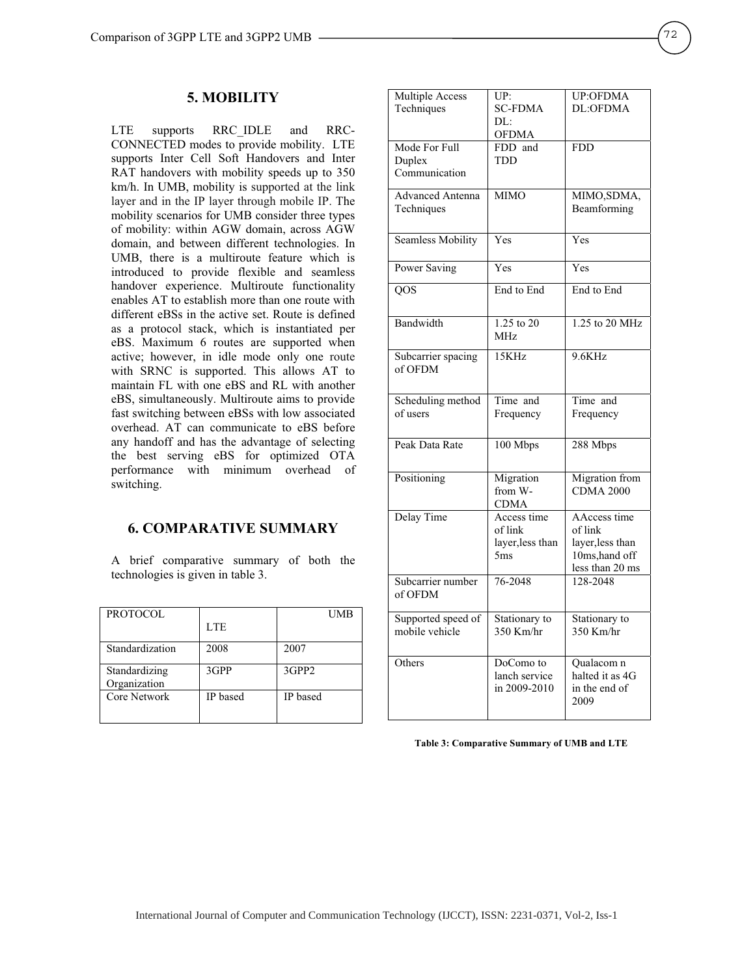### **5. MOBILITY**

LTE supports RRC\_IDLE and RRC-CONNECTED modes to provide mobility. LTE supports Inter Cell Soft Handovers and Inter RAT handovers with mobility speeds up to 350 km/h. In UMB, mobility is supported at the link layer and in the IP layer through mobile IP. The mobility scenarios for UMB consider three types of mobility: within AGW domain, across AGW domain, and between different technologies. In UMB, there is a multiroute feature which is introduced to provide flexible and seamless handover experience. Multiroute functionality enables AT to establish more than one route with different eBSs in the active set. Route is defined as a protocol stack, which is instantiated per eBS. Maximum 6 routes are supported when active; however, in idle mode only one route with SRNC is supported. This allows AT to maintain FL with one eBS and RL with another eBS, simultaneously. Multiroute aims to provide fast switching between eBSs with low associated overhead. AT can communicate to eBS before any handoff and has the advantage of selecting the best serving eBS for optimized OTA performance with minimum overhead of switching.

## **6. COMPARATIVE SUMMARY**

A brief comparative summary of both the technologies is given in table 3.

| <b>PROTOCOL</b> |          | UMB               |
|-----------------|----------|-------------------|
|                 | LTE.     |                   |
| Standardization | 2008     | 2007              |
| Standardizing   | 3GPP     | 3GPP <sub>2</sub> |
| Organization    |          |                   |
| Core Network    | IP based | IP based          |
|                 |          |                   |

| Multiple Access<br>Techniques            | UP:<br><b>SC-FDMA</b><br>DL:<br><b>OFDMA</b>                  | <b>UP:OFDMA</b><br>DL:OFDMA                                                      |
|------------------------------------------|---------------------------------------------------------------|----------------------------------------------------------------------------------|
| Mode For Full<br>Duplex<br>Communication | FDD and<br><b>TDD</b>                                         | <b>FDD</b>                                                                       |
| <b>Advanced Antenna</b><br>Techniques    | <b>MIMO</b>                                                   | MIMO,SDMA,<br>Beamforming                                                        |
| <b>Seamless Mobility</b>                 | Yes                                                           | Yes                                                                              |
| Power Saving                             | Yes                                                           | Yes                                                                              |
| QOS                                      | End to End                                                    | End to End                                                                       |
| Bandwidth                                | 1.25 to 20<br>MHz                                             | 1.25 to 20 MHz                                                                   |
| Subcarrier spacing<br>of OFDM            | 15KHz                                                         | 9.6KHz                                                                           |
| Scheduling method<br>of users            | Time and<br>Frequency                                         | Time and<br>Frequency                                                            |
| Peak Data Rate                           | 100 Mbps                                                      | 288 Mbps                                                                         |
| Positioning                              | Migration<br>from W-<br><b>CDMA</b>                           | Migration from<br><b>CDMA 2000</b>                                               |
| Delay Time                               | Access time<br>of link<br>layer, less than<br>5 <sub>ms</sub> | AAccess time<br>of link<br>layer, less than<br>10ms, hand off<br>less than 20 ms |
| Subcarrier number<br>of OFDM             | 76-2048                                                       | 128-2048                                                                         |
| Supported speed of<br>mobile vehicle     | Stationary to<br>350 Km/hr                                    | Stationary to<br>350 Km/hr                                                       |
| Others                                   | DoComo to<br>lanch service<br>in 2009-2010                    | Qualacom n<br>halted it as 4G<br>in the end of<br>2009                           |

#### **Table 3: Comparative Summary of UMB and LTE**